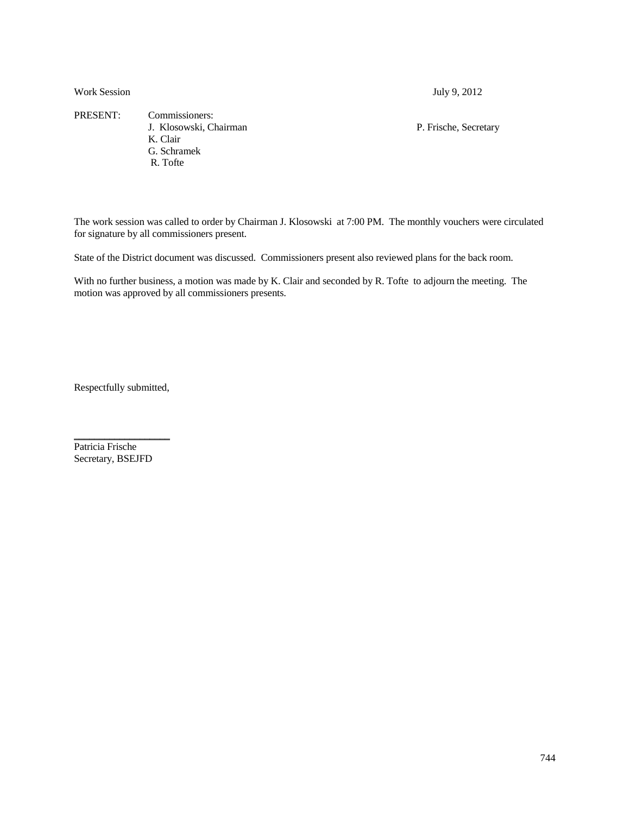Work Session July 9, 2012

PRESENT: Commissioners: J. Klosowski, Chairman P. Frische, Secretary K. Clair G. Schramek R. Tofte

The work session was called to order by Chairman J. Klosowski at 7:00 PM. The monthly vouchers were circulated for signature by all commissioners present.

State of the District document was discussed. Commissioners present also reviewed plans for the back room.

With no further business, a motion was made by K. Clair and seconded by R. Tofte to adjourn the meeting. The motion was approved by all commissioners presents.

Respectfully submitted,

 $\overline{\phantom{a}}$  , and the set of the set of the set of the set of the set of the set of the set of the set of the set of the set of the set of the set of the set of the set of the set of the set of the set of the set of the s

Patricia Frische Secretary, BSEJFD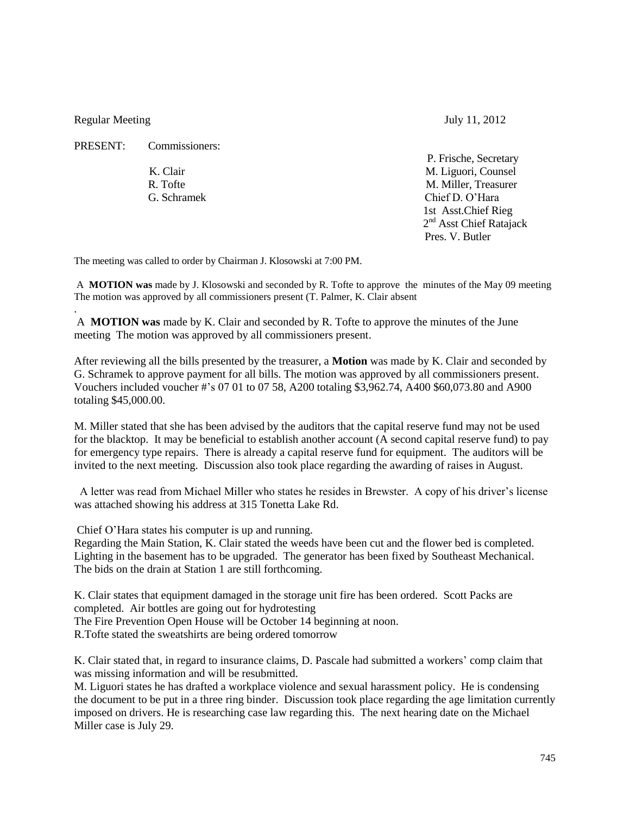Regular Meeting July 11, 2012

.

PRESENT: Commissioners:

 P. Frische, Secretary K. Clair M. Liguori, Counsel R. Tofte M. Miller, Treasurer G. Schramek Chief D. O'Hara 1st Asst.Chief Rieg 2 2<sup>nd</sup> Asst Chief Ratajack Pres. V. Butler

The meeting was called to order by Chairman J. Klosowski at 7:00 PM.

A **MOTION was** made by J. Klosowski and seconded by R. Tofte to approve the minutes of the May 09 meeting The motion was approved by all commissioners present (T. Palmer, K. Clair absent

A **MOTION was** made by K. Clair and seconded by R. Tofte to approve the minutes of the June meeting The motion was approved by all commissioners present.

After reviewing all the bills presented by the treasurer, a **Motion** was made by K. Clair and seconded by G. Schramek to approve payment for all bills. The motion was approved by all commissioners present. Vouchers included voucher #'s 07 01 to 07 58, A200 totaling \$3,962.74, A400 \$60,073.80 and A900 totaling \$45,000.00.

M. Miller stated that she has been advised by the auditors that the capital reserve fund may not be used for the blacktop. It may be beneficial to establish another account (A second capital reserve fund) to pay for emergency type repairs. There is already a capital reserve fund for equipment. The auditors will be invited to the next meeting. Discussion also took place regarding the awarding of raises in August.

A letter was read from Michael Miller who states he resides in Brewster. A copy of his driver's license was attached showing his address at 315 Tonetta Lake Rd.

Chief O'Hara states his computer is up and running.

Regarding the Main Station, K. Clair stated the weeds have been cut and the flower bed is completed. Lighting in the basement has to be upgraded. The generator has been fixed by Southeast Mechanical. The bids on the drain at Station 1 are still forthcoming.

K. Clair states that equipment damaged in the storage unit fire has been ordered. Scott Packs are completed. Air bottles are going out for hydrotesting The Fire Prevention Open House will be October 14 beginning at noon. R.Tofte stated the sweatshirts are being ordered tomorrow

K. Clair stated that, in regard to insurance claims, D. Pascale had submitted a workers' comp claim that was missing information and will be resubmitted.

M. Liguori states he has drafted a workplace violence and sexual harassment policy. He is condensing the document to be put in a three ring binder. Discussion took place regarding the age limitation currently imposed on drivers. He is researching case law regarding this. The next hearing date on the Michael Miller case is July 29.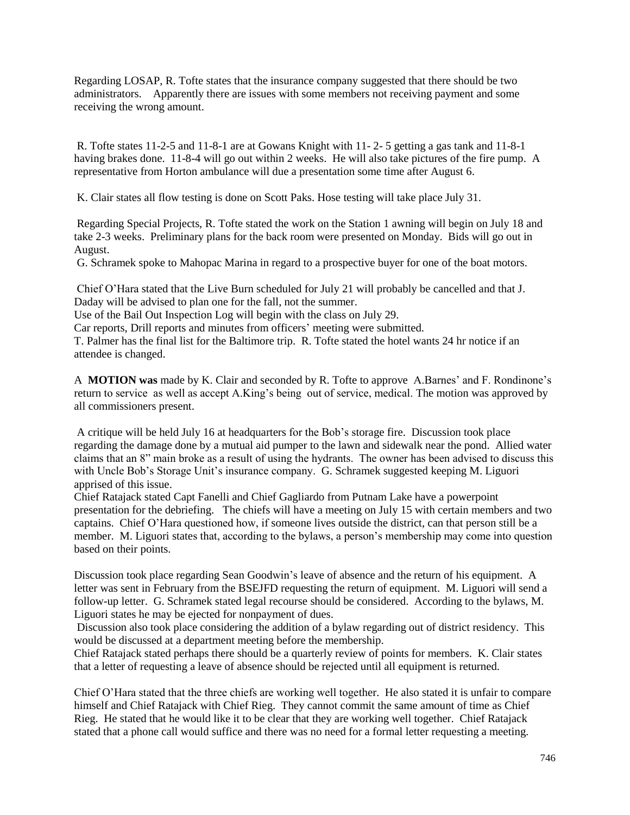Regarding LOSAP, R. Tofte states that the insurance company suggested that there should be two administrators. Apparently there are issues with some members not receiving payment and some receiving the wrong amount.

R. Tofte states 11-2-5 and 11-8-1 are at Gowans Knight with 11- 2- 5 getting a gas tank and 11-8-1 having brakes done. 11-8-4 will go out within 2 weeks. He will also take pictures of the fire pump. A representative from Horton ambulance will due a presentation some time after August 6.

K. Clair states all flow testing is done on Scott Paks. Hose testing will take place July 31.

Regarding Special Projects, R. Tofte stated the work on the Station 1 awning will begin on July 18 and take 2-3 weeks. Preliminary plans for the back room were presented on Monday. Bids will go out in August.

G. Schramek spoke to Mahopac Marina in regard to a prospective buyer for one of the boat motors.

Chief O'Hara stated that the Live Burn scheduled for July 21 will probably be cancelled and that J. Daday will be advised to plan one for the fall, not the summer.

Use of the Bail Out Inspection Log will begin with the class on July 29.

Car reports, Drill reports and minutes from officers' meeting were submitted.

T. Palmer has the final list for the Baltimore trip. R. Tofte stated the hotel wants 24 hr notice if an attendee is changed.

A **MOTION was** made by K. Clair and seconded by R. Tofte to approve A.Barnes' and F. Rondinone's return to service as well as accept A.King's being out of service, medical. The motion was approved by all commissioners present.

A critique will be held July 16 at headquarters for the Bob's storage fire. Discussion took place regarding the damage done by a mutual aid pumper to the lawn and sidewalk near the pond. Allied water claims that an 8" main broke as a result of using the hydrants. The owner has been advised to discuss this with Uncle Bob's Storage Unit's insurance company. G. Schramek suggested keeping M. Liguori apprised of this issue.

Chief Ratajack stated Capt Fanelli and Chief Gagliardo from Putnam Lake have a powerpoint presentation for the debriefing. The chiefs will have a meeting on July 15 with certain members and two captains. Chief O'Hara questioned how, if someone lives outside the district, can that person still be a member. M. Liguori states that, according to the bylaws, a person's membership may come into question based on their points.

Discussion took place regarding Sean Goodwin's leave of absence and the return of his equipment. A letter was sent in February from the BSEJFD requesting the return of equipment. M. Liguori will send a follow-up letter. G. Schramek stated legal recourse should be considered. According to the bylaws, M. Liguori states he may be ejected for nonpayment of dues.

Discussion also took place considering the addition of a bylaw regarding out of district residency. This would be discussed at a department meeting before the membership.

Chief Ratajack stated perhaps there should be a quarterly review of points for members. K. Clair states that a letter of requesting a leave of absence should be rejected until all equipment is returned.

Chief O'Hara stated that the three chiefs are working well together. He also stated it is unfair to compare himself and Chief Ratajack with Chief Rieg. They cannot commit the same amount of time as Chief Rieg. He stated that he would like it to be clear that they are working well together. Chief Ratajack stated that a phone call would suffice and there was no need for a formal letter requesting a meeting.